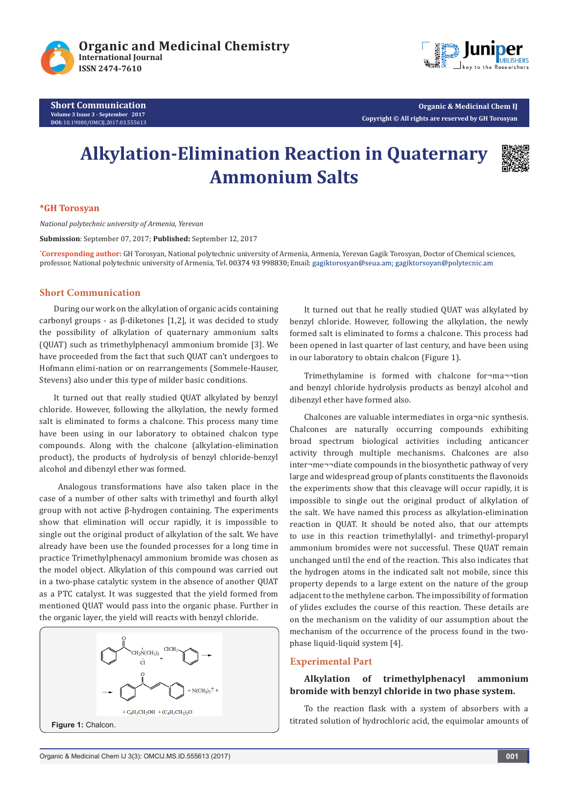



**Organic & Medicinal Chem IJ Copyright © All rights are reserved by GH Torosyan**

# **Alkylation-Elimination Reaction in Quaternary Ammonium Salts**



## **\*GH Torosyan**

*National polytechnic university of Armenia, Yerevan*

**Submission**: September 07, 2017; **Published:** September 12, 2017

**\* Corresponding author:** GH Torosyan, National polytechnic university of Armenia, Armenia, Yerevan Gagik Torosyan, Doctor of Chemical sciences, professor, National polytechnic university of Armenia, Tel. 00374 93 998830; Email: gagiktorosyan@seua.am; gagiktorsoyan@polytecnic.am

## **Short Communication**

During our work on the alkylation of organic acids containing carbonyl groups - as β-diketones [1,2], it was decided to study the possibility of alkylation of quaternary ammonium salts (QUAT) such as trimethylphenacyl ammonium bromide [3]. We have proceeded from the fact that such QUAT can't undergoes to Hofmann elimi-nation or on rearrangements (Sommele-Hauser, Stevens) also under this type of milder basic conditions.

It turned out that really studied QUAT alkylated by benzyl chloride. However, following the alkylation, the newly formed salt is eliminated to forms a chalcone. This process many time have been using in our laboratory to obtained chalcon type compounds. Along with the chalcone (alkylation-elimination product), the products of hydrolysis of benzyl chloride-benzyl alcohol and dibenzyl ether was formed.

 Analogous transformations have also taken place in the case of a number of other salts with trimethyl and fourth alkyl group with not active β-hydrogen containing. The experiments show that elimination will occur rapidly, it is impossible to single out the original product of alkylation of the salt. We have already have been use the founded processes for a long time in practice Trimethylphenacyl ammonium bromide was chosen as the model object. Alkylation of this compound was carried out in a two-phase catalytic system in the absence of another QUAT as a PTC catalyst. It was suggested that the yield formed from mentioned QUAT would pass into the organic phase. Further in the organic layer, the yield will reacts with benzyl chloride.



It turned out that he really studied QUAT was alkylated by benzyl chloride. However, following the alkylation, the newly formed salt is eliminated to forms a chalcone. This process had been opened in last quarter of last century, and have been using in our laboratory to obtain chalcon (Figure 1).

Trimethylamine is formed with chalcone for¬ma¬¬tion and benzyl chloride hydrolysis products as benzyl alcohol and dibenzyl ether have formed also.

Chalcones are valuable intermediates in orga¬nic synthesis. Chalcones are naturally occurring compounds exhibiting broad spectrum biological activities including anticancer activity through multiple mechanisms. Chalcones are also inter¬me¬¬diate compounds in the biosynthetic pathway of very large and widespread group of plants constituents the flavonoids the experiments show that this cleavage will occur rapidly, it is impossible to single out the original product of alkylation of the salt. We have named this process as alkylation-elimination reaction in QUAT. It should be noted also, that оur attempts to use in this reaction trimethylallyl- and trimethyl-proparyl ammonium bromides were not successful. Тhese QUAT remain unchanged until the end of the reaction. This also indicates that the hydrogen atoms in the indicated salt not mobile, since this property depends to a large extent on the nature of the group adjacent to the methylene carbon. The impossibility of formation of ylides excludes the course of this reaction. These details are on the mechanism on the validity of our assumption about the mechanism of the occurrence of the process found in the twophase liquid-liquid system [4].

#### **Experimental Part**

# **Alkylation of trimethylphenacyl ammonium bromide with benzyl chloride in two phase system.**

To the reaction flask with a system of absorbers with a titrated solution of hydrochloric acid, the equimolar amounts of